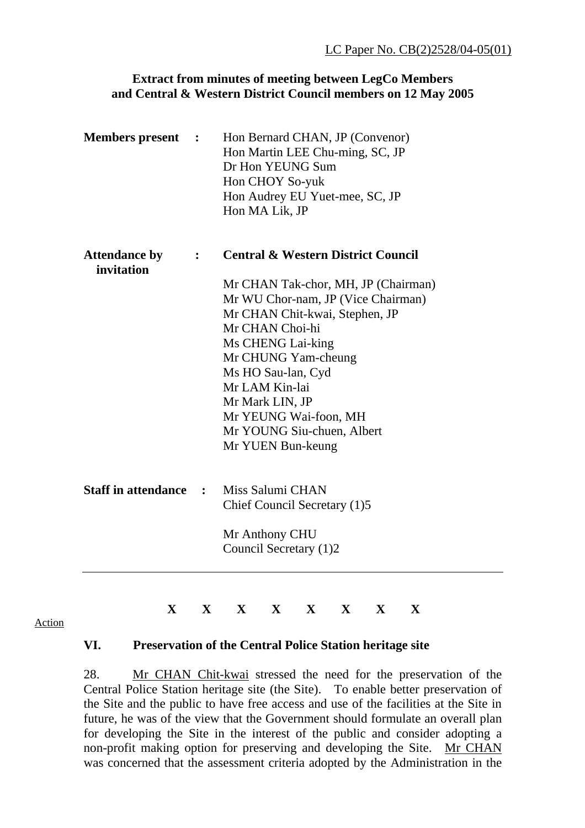## **Extract from minutes of meeting between LegCo Members and Central & Western District Council members on 12 May 2005**

| <b>Members</b> present             | $\ddot{\phantom{1}}$ | Hon Bernard CHAN, JP (Convenor)<br>Hon Martin LEE Chu-ming, SC, JP<br>Dr Hon YEUNG Sum<br>Hon CHOY So-yuk<br>Hon Audrey EU Yuet-mee, SC, JP<br>Hon MA Lik, JP |
|------------------------------------|----------------------|---------------------------------------------------------------------------------------------------------------------------------------------------------------|
| <b>Attendance by</b><br>invitation | $\ddot{\cdot}$       | <b>Central &amp; Western District Council</b>                                                                                                                 |
|                                    |                      | Mr CHAN Tak-chor, MH, JP (Chairman)<br>Mr WU Chor-nam, JP (Vice Chairman)                                                                                     |
|                                    |                      | Mr CHAN Chit-kwai, Stephen, JP                                                                                                                                |
|                                    |                      | Mr CHAN Choi-hi                                                                                                                                               |
|                                    |                      | Ms CHENG Lai-king                                                                                                                                             |
|                                    |                      | Mr CHUNG Yam-cheung                                                                                                                                           |
|                                    |                      | Ms HO Sau-lan, Cyd                                                                                                                                            |
|                                    |                      | Mr LAM Kin-lai                                                                                                                                                |
|                                    |                      | Mr Mark LIN, JP                                                                                                                                               |
|                                    |                      | Mr YEUNG Wai-foon, MH                                                                                                                                         |
|                                    |                      | Mr YOUNG Siu-chuen, Albert                                                                                                                                    |
|                                    |                      | Mr YUEN Bun-keung                                                                                                                                             |
| <b>Staff in attendance :</b>       |                      | Miss Salumi CHAN                                                                                                                                              |
|                                    |                      | Chief Council Secretary (1)5                                                                                                                                  |
|                                    |                      | Mr Anthony CHU                                                                                                                                                |
|                                    |                      | Council Secretary (1)2                                                                                                                                        |

## Action

## **X X X X X X X X**

## **VI. Preservation of the Central Police Station heritage site**

28. Mr CHAN Chit-kwai stressed the need for the preservation of the Central Police Station heritage site (the Site). To enable better preservation of the Site and the public to have free access and use of the facilities at the Site in future, he was of the view that the Government should formulate an overall plan for developing the Site in the interest of the public and consider adopting a non-profit making option for preserving and developing the Site. Mr CHAN was concerned that the assessment criteria adopted by the Administration in the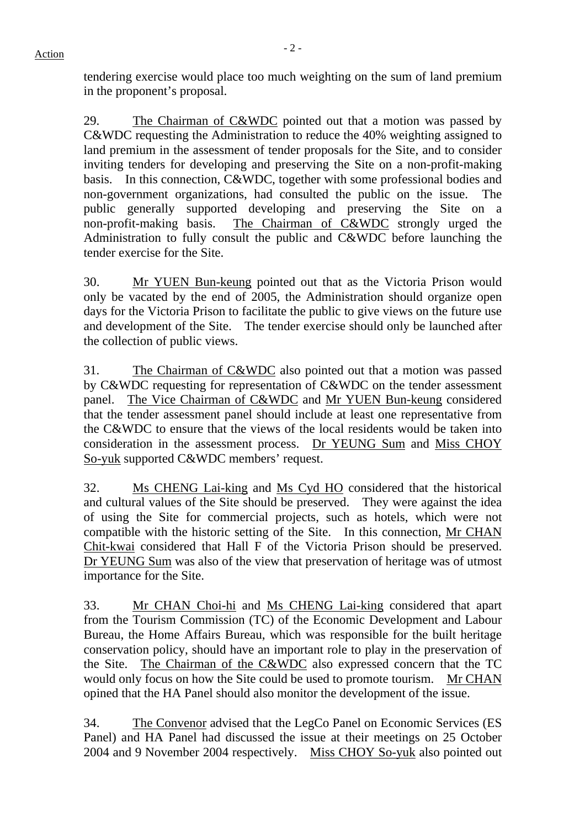tendering exercise would place too much weighting on the sum of land premium in the proponent's proposal.

29. The Chairman of C&WDC pointed out that a motion was passed by C&WDC requesting the Administration to reduce the 40% weighting assigned to land premium in the assessment of tender proposals for the Site, and to consider inviting tenders for developing and preserving the Site on a non-profit-making basis. In this connection, C&WDC, together with some professional bodies and non-government organizations, had consulted the public on the issue. The public generally supported developing and preserving the Site on a non-profit-making basis. The Chairman of C&WDC strongly urged the Administration to fully consult the public and C&WDC before launching the tender exercise for the Site.

30. Mr YUEN Bun-keung pointed out that as the Victoria Prison would only be vacated by the end of 2005, the Administration should organize open days for the Victoria Prison to facilitate the public to give views on the future use and development of the Site. The tender exercise should only be launched after the collection of public views.

31. The Chairman of C&WDC also pointed out that a motion was passed by C&WDC requesting for representation of C&WDC on the tender assessment panel. The Vice Chairman of C&WDC and Mr YUEN Bun-keung considered that the tender assessment panel should include at least one representative from the C&WDC to ensure that the views of the local residents would be taken into consideration in the assessment process. Dr YEUNG Sum and Miss CHOY So-yuk supported C&WDC members' request.

32. Ms CHENG Lai-king and Ms Cyd HO considered that the historical and cultural values of the Site should be preserved. They were against the idea of using the Site for commercial projects, such as hotels, which were not compatible with the historic setting of the Site. In this connection, Mr CHAN Chit-kwai considered that Hall F of the Victoria Prison should be preserved. Dr YEUNG Sum was also of the view that preservation of heritage was of utmost importance for the Site.

33. Mr CHAN Choi-hi and Ms CHENG Lai-king considered that apart from the Tourism Commission (TC) of the Economic Development and Labour Bureau, the Home Affairs Bureau, which was responsible for the built heritage conservation policy, should have an important role to play in the preservation of the Site. The Chairman of the C&WDC also expressed concern that the TC would only focus on how the Site could be used to promote tourism. Mr CHAN opined that the HA Panel should also monitor the development of the issue.

34. The Convenor advised that the LegCo Panel on Economic Services (ES Panel) and HA Panel had discussed the issue at their meetings on 25 October 2004 and 9 November 2004 respectively. Miss CHOY So-yuk also pointed out